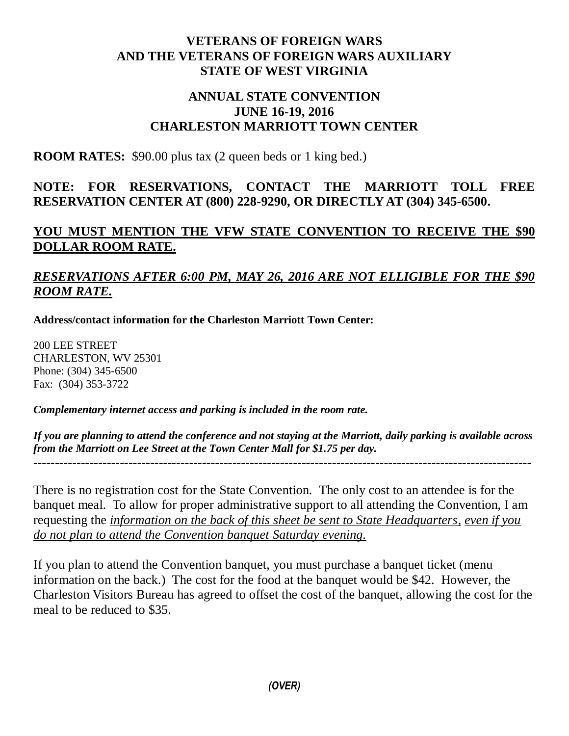## **VETERANS OF FOREIGN WARS AND THE VETERANS OF FOREIGN WARS AUXILIARY STATE OF WEST VIRGINIA**

## **ANNUAL STATE CONVENTION JUNE 16-19, 2016 CHARLESTON MARRIOTT TOWN CENTER**

**ROOM RATES:** \$90.00 plus tax (2 queen beds or 1 king bed.)

# **NOTE: FOR RESERVATIONS, CONTACT THE MARRIOTT TOLL FREE RESERVATION CENTER AT (800) 228-9290, OR DIRECTLY AT (304) 345-6500.**

# **YOU MUST MENTION THE VFW STATE CONVENTION TO RECEIVE THE \$90 DOLLAR ROOM RATE.**

# *RESERVATIONS AFTER 6:00 PM, MAY 26, 2016 ARE NOT ELLIGIBLE FOR THE \$90 ROOM RATE.*

**Address/contact information for the Charleston Marriott Town Center:**

200 LEE STREET CHARLESTON, WV 25301 Phone: (304) 345-6500 Fax: (304) 353-3722

*Complementary internet access and parking is included in the room rate.* 

*If you are planning to attend the conference and not staying at the Marriott, daily parking is available across from the Marriott on Lee Street at the Town Center Mall for \$1.75 per day. -------------------------------------------------------------------------------------------------------------------*

There is no registration cost for the State Convention. The only cost to an attendee is for the banquet meal. To allow for proper administrative support to all attending the Convention, I am requesting the *information on the back of this sheet be sent to State Headquarters, even if you do not plan to attend the Convention banquet Saturday evening.*

If you plan to attend the Convention banquet, you must purchase a banquet ticket (menu information on the back.) The cost for the food at the banquet would be \$42. However, the Charleston Visitors Bureau has agreed to offset the cost of the banquet, allowing the cost for the meal to be reduced to \$35.